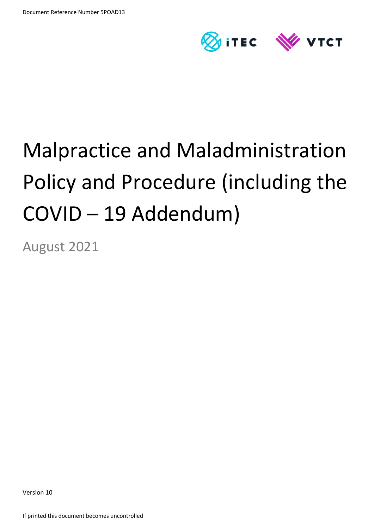

# Malpractice and Maladministration Policy and Procedure (including the COVID – 19 Addendum)

August 2021

Version 10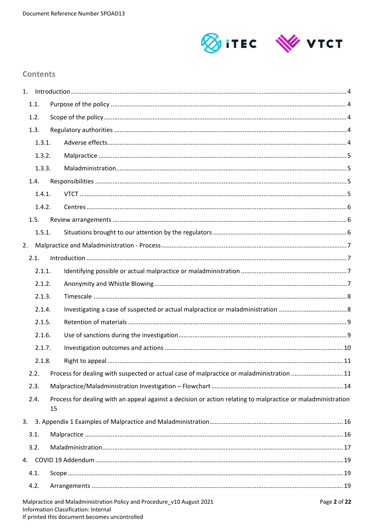

# **Contents**

| 1.     |        |    |                                                                                                              |              |  |  |
|--------|--------|----|--------------------------------------------------------------------------------------------------------------|--------------|--|--|
|        | 1.1.   |    |                                                                                                              |              |  |  |
|        | 1.2.   |    |                                                                                                              |              |  |  |
|        | 1.3.   |    |                                                                                                              |              |  |  |
|        | 1.3.1. |    |                                                                                                              |              |  |  |
|        | 1.3.2. |    |                                                                                                              |              |  |  |
| 1.3.3. |        |    |                                                                                                              |              |  |  |
|        | 1.4.   |    |                                                                                                              |              |  |  |
| 1.4.1. |        |    |                                                                                                              |              |  |  |
|        | 1.4.2. |    |                                                                                                              |              |  |  |
|        | 1.5.   |    |                                                                                                              |              |  |  |
|        | 1.5.1. |    |                                                                                                              |              |  |  |
| 2.     |        |    |                                                                                                              |              |  |  |
|        | 2.1.   |    |                                                                                                              |              |  |  |
|        | 2.1.1. |    |                                                                                                              |              |  |  |
|        | 2.1.2. |    |                                                                                                              |              |  |  |
|        | 2.1.3. |    |                                                                                                              |              |  |  |
|        | 2.1.4. |    |                                                                                                              |              |  |  |
|        | 2.1.5. |    |                                                                                                              |              |  |  |
|        | 2.1.6. |    |                                                                                                              |              |  |  |
|        | 2.1.7. |    |                                                                                                              |              |  |  |
|        | 2.1.8. |    |                                                                                                              |              |  |  |
|        | 2.2.   |    | Process for dealing with suspected or actual case of malpractice or maladministration 11                     |              |  |  |
|        | 2.3.   |    |                                                                                                              |              |  |  |
|        | 2.4.   | 15 | Process for dealing with an appeal against a decision or action relating to malpractice or maladministration |              |  |  |
| 3.     |        |    |                                                                                                              |              |  |  |
|        | 3.1.   |    |                                                                                                              |              |  |  |
|        | 3.2.   |    |                                                                                                              |              |  |  |
| 4.     |        |    |                                                                                                              |              |  |  |
|        | 4.1.   |    |                                                                                                              |              |  |  |
|        | 4.2.   |    |                                                                                                              |              |  |  |
|        |        |    | Malpractice and Maladministration Policy and Procedure_v10 August 2021                                       | Page 2 of 22 |  |  |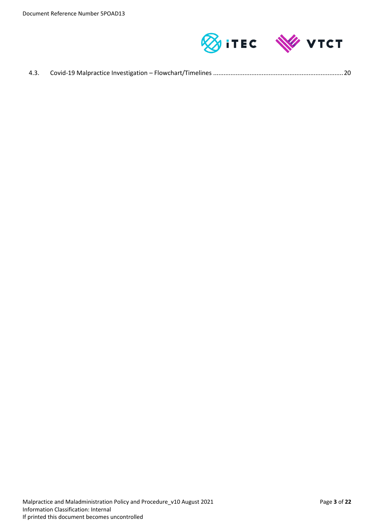

| 4.3. |  |  |  |
|------|--|--|--|
|------|--|--|--|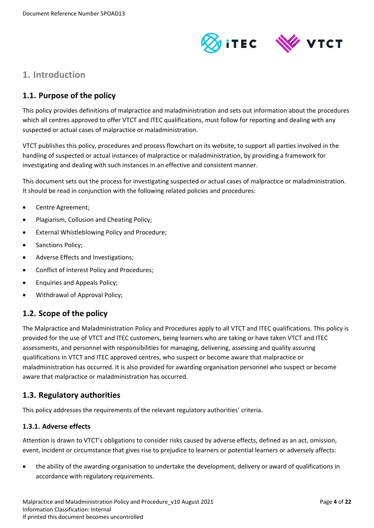

# <span id="page-3-0"></span>**1. Introduction**

# <span id="page-3-1"></span>**1.1. Purpose of the policy**

This policy provides definitions of malpractice and maladministration and sets out information about the procedures which all centres approved to offer VTCT and ITEC qualifications, must follow for reporting and dealing with any suspected or actual cases of malpractice or maladministration.

VTCT publishes this policy, procedures and process flowchart on its website, to support all parties involved in the handling of suspected or actual instances of malpractice or maladministration, by providing a framework for investigating and dealing with such instances in an effective and consistent manner.

This document sets out the process for investigating suspected or actual cases of malpractice or maladministration. It should be read in conjunction with the following related policies and procedures:

- Centre Agreement;
- Plagiarism, Collusion and Cheating Policy;
- External Whistleblowing Policy and Procedure;
- Sanctions Policy;
- Adverse Effects and Investigations;
- Conflict of Interest Policy and Procedures;
- Enquiries and Appeals Policy;
- Withdrawal of Approval Policy;

# <span id="page-3-2"></span>**1.2. Scope of the policy**

The Malpractice and Maladministration Policy and Procedures apply to all VTCT and ITEC qualifications. This policy is provided for the use of VTCT and ITEC customers, being learners who are taking or have taken VTCT and ITEC assessments, and personnel with responsibilities for managing, delivering, assessing and quality assuring qualifications in VTCT and ITEC approved centres, who suspect or become aware that malpractice or maladministration has occurred. It is also provided for awarding organisation personnel who suspect or become aware that malpractice or maladministration has occurred.

## <span id="page-3-3"></span>**1.3. Regulatory authorities**

This policy addresses the requirements of the relevant regulatory authorities' criteria.

### <span id="page-3-4"></span>**1.3.1. Adverse effects**

Attention is drawn to VTCT's obligations to consider risks caused by adverse effects, defined as an act, omission, event, incident or circumstance that gives rise to prejudice to learners or potential learners or adversely affects:

 the ability of the awarding organisation to undertake the development, delivery or award of qualifications in accordance with regulatory requirements.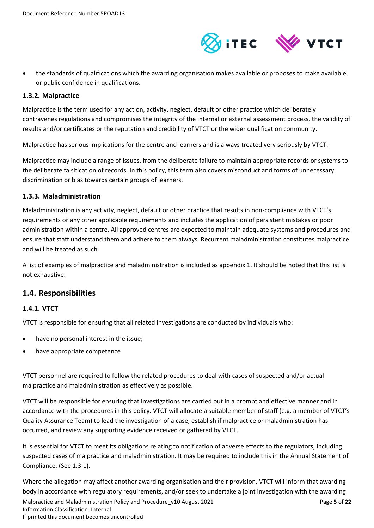

 the standards of qualifications which the awarding organisation makes available or proposes to make available, or public confidence in qualifications.

#### <span id="page-4-0"></span>**1.3.2. Malpractice**

Malpractice is the term used for any action, activity, neglect, default or other practice which deliberately contravenes regulations and compromises the integrity of the internal or external assessment process, the validity of results and/or certificates or the reputation and credibility of VTCT or the wider qualification community.

Malpractice has serious implications for the centre and learners and is always treated very seriously by VTCT.

Malpractice may include a range of issues, from the deliberate failure to maintain appropriate records or systems to the deliberate falsification of records. In this policy, this term also covers misconduct and forms of unnecessary discrimination or bias towards certain groups of learners.

#### <span id="page-4-1"></span>**1.3.3. Maladministration**

Maladministration is any activity, neglect, default or other practice that results in non-compliance with VTCT's requirements or any other applicable requirements and includes the application of persistent mistakes or poor administration within a centre. All approved centres are expected to maintain adequate systems and procedures and ensure that staff understand them and adhere to them always. Recurrent maladministration constitutes malpractice and will be treated as such.

A list of examples of malpractice and maladministration is included as appendix 1. It should be noted that this list is not exhaustive.

## <span id="page-4-2"></span>**1.4. Responsibilities**

### <span id="page-4-3"></span>**1.4.1. VTCT**

VTCT is responsible for ensuring that all related investigations are conducted by individuals who:

- have no personal interest in the issue;
- have appropriate competence

VTCT personnel are required to follow the related procedures to deal with cases of suspected and/or actual malpractice and maladministration as effectively as possible.

VTCT will be responsible for ensuring that investigations are carried out in a prompt and effective manner and in accordance with the procedures in this policy. VTCT will allocate a suitable member of staff (e.g. a member of VTCT's Quality Assurance Team) to lead the investigation of a case, establish if malpractice or maladministration has occurred, and review any supporting evidence received or gathered by VTCT.

It is essential for VTCT to meet its obligations relating to notification of adverse effects to the regulators, including suspected cases of malpractice and maladministration. It may be required to include this in the Annual Statement of Compliance. (See 1.3.1).

Where the allegation may affect another awarding organisation and their provision, VTCT will inform that awarding body in accordance with regulatory requirements, and/or seek to undertake a joint investigation with the awarding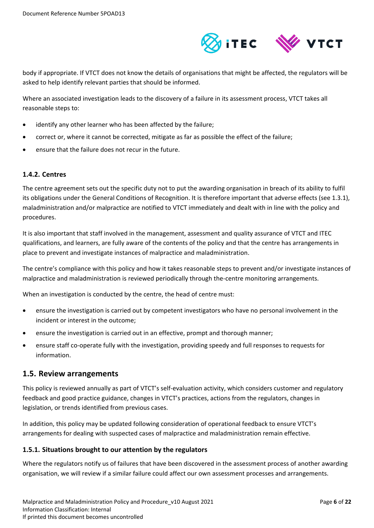

body if appropriate. If VTCT does not know the details of organisations that might be affected, the regulators will be asked to help identify relevant parties that should be informed.

Where an associated investigation leads to the discovery of a failure in its assessment process, VTCT takes all reasonable steps to:

- identify any other learner who has been affected by the failure;
- correct or, where it cannot be corrected, mitigate as far as possible the effect of the failure;
- ensure that the failure does not recur in the future.

#### <span id="page-5-0"></span>**1.4.2. Centres**

The centre agreement sets out the specific duty not to put the awarding organisation in breach of its ability to fulfil its obligations under the General Conditions of Recognition. It is therefore important that adverse effects (see 1.3.1), maladministration and/or malpractice are notified to VTCT immediately and dealt with in line with the policy and procedures.

It is also important that staff involved in the management, assessment and quality assurance of VTCT and ITEC qualifications, and learners, are fully aware of the contents of the policy and that the centre has arrangements in place to prevent and investigate instances of malpractice and maladministration.

The centre's compliance with this policy and how it takes reasonable steps to prevent and/or investigate instances of malpractice and maladministration is reviewed periodically through the-centre monitoring arrangements.

When an investigation is conducted by the centre, the head of centre must:

- ensure the investigation is carried out by competent investigators who have no personal involvement in the incident or interest in the outcome;
- ensure the investigation is carried out in an effective, prompt and thorough manner;
- ensure staff co-operate fully with the investigation, providing speedy and full responses to requests for information.

### <span id="page-5-1"></span>**1.5. Review arrangements**

This policy is reviewed annually as part of VTCT's self-evaluation activity, which considers customer and regulatory feedback and good practice guidance, changes in VTCT's practices, actions from the regulators, changes in legislation, or trends identified from previous cases.

In addition, this policy may be updated following consideration of operational feedback to ensure VTCT's arrangements for dealing with suspected cases of malpractice and maladministration remain effective.

#### <span id="page-5-2"></span>**1.5.1. Situations brought to our attention by the regulators**

Where the regulators notify us of failures that have been discovered in the assessment process of another awarding organisation, we will review if a similar failure could affect our own assessment processes and arrangements.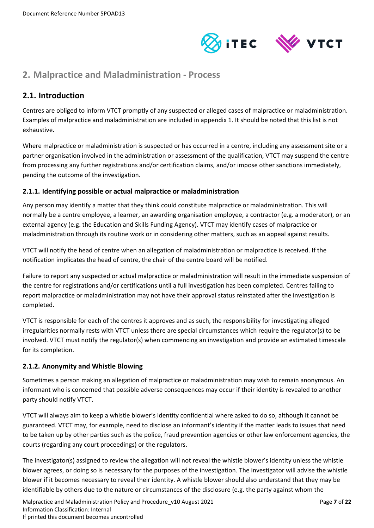

# <span id="page-6-0"></span>**2. Malpractice and Maladministration - Process**

# <span id="page-6-1"></span>**2.1. Introduction**

Centres are obliged to inform VTCT promptly of any suspected or alleged cases of malpractice or maladministration. Examples of malpractice and maladministration are included in appendix 1. It should be noted that this list is not exhaustive.

Where malpractice or maladministration is suspected or has occurred in a centre, including any assessment site or a partner organisation involved in the administration or assessment of the qualification, VTCT may suspend the centre from processing any further registrations and/or certification claims, and/or impose other sanctions immediately, pending the outcome of the investigation.

### <span id="page-6-2"></span>**2.1.1. Identifying possible or actual malpractice or maladministration**

Any person may identify a matter that they think could constitute malpractice or maladministration. This will normally be a centre employee, a learner, an awarding organisation employee, a contractor (e.g. a moderator), or an external agency (e.g. the Education and Skills Funding Agency). VTCT may identify cases of malpractice or maladministration through its routine work or in considering other matters, such as an appeal against results.

VTCT will notify the head of centre when an allegation of maladministration or malpractice is received. If the notification implicates the head of centre, the chair of the centre board will be notified.

Failure to report any suspected or actual malpractice or maladministration will result in the immediate suspension of the centre for registrations and/or certifications until a full investigation has been completed. Centres failing to report malpractice or maladministration may not have their approval status reinstated after the investigation is completed.

VTCT is responsible for each of the centres it approves and as such, the responsibility for investigating alleged irregularities normally rests with VTCT unless there are special circumstances which require the regulator(s) to be involved. VTCT must notify the regulator(s) when commencing an investigation and provide an estimated timescale for its completion.

### <span id="page-6-3"></span>**2.1.2. Anonymity and Whistle Blowing**

Sometimes a person making an allegation of malpractice or maladministration may wish to remain anonymous. An informant who is concerned that possible adverse consequences may occur if their identity is revealed to another party should notify VTCT.

VTCT will always aim to keep a whistle blower's identity confidential where asked to do so, although it cannot be guaranteed. VTCT may, for example, need to disclose an informant's identity if the matter leads to issues that need to be taken up by other parties such as the police, fraud prevention agencies or other law enforcement agencies, the courts (regarding any court proceedings) or the regulators.

The investigator(s) assigned to review the allegation will not reveal the whistle blower's identity unless the whistle blower agrees, or doing so is necessary for the purposes of the investigation. The investigator will advise the whistle blower if it becomes necessary to reveal their identity. A whistle blower should also understand that they may be identifiable by others due to the nature or circumstances of the disclosure (e.g. the party against whom the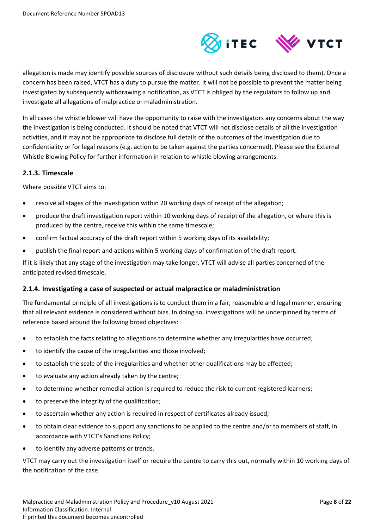

allegation is made may identify possible sources of disclosure without such details being disclosed to them). Once a concern has been raised, VTCT has a duty to pursue the matter. It will not be possible to prevent the matter being investigated by subsequently withdrawing a notification, as VTCT is obliged by the regulators to follow up and investigate all allegations of malpractice or maladministration.

In all cases the whistle blower will have the opportunity to raise with the investigators any concerns about the way the investigation is being conducted. It should be noted that VTCT will not disclose details of all the investigation activities, and it may not be appropriate to disclose full details of the outcomes of the investigation due to confidentiality or for legal reasons (e.g. action to be taken against the parties concerned). Please see the External Whistle Blowing Policy for further information in relation to whistle blowing arrangements.

#### <span id="page-7-0"></span>**2.1.3. Timescale**

Where possible VTCT aims to:

- resolve all stages of the investigation within 20 working days of receipt of the allegation;
- produce the draft investigation report within 10 working days of receipt of the allegation, or where this is produced by the centre, receive this within the same timescale;
- confirm factual accuracy of the draft report within 5 working days of its availability;
- publish the final report and actions within 5 working days of confirmation of the draft report.

If it is likely that any stage of the investigation may take longer, VTCT will advise all parties concerned of the anticipated revised timescale.

### <span id="page-7-1"></span>**2.1.4. Investigating a case of suspected or actual malpractice or maladministration**

The fundamental principle of all investigations is to conduct them in a fair, reasonable and legal manner, ensuring that all relevant evidence is considered without bias. In doing so, investigations will be underpinned by terms of reference based around the following broad objectives:

- to establish the facts relating to allegations to determine whether any irregularities have occurred;
- to identify the cause of the irregularities and those involved;
- to establish the scale of the irregularities and whether other qualifications may be affected;
- to evaluate any action already taken by the centre;
- to determine whether remedial action is required to reduce the risk to current registered learners;
- to preserve the integrity of the qualification;
- to ascertain whether any action is required in respect of certificates already issued;
- to obtain clear evidence to support any sanctions to be applied to the centre and/or to members of staff, in accordance with VTCT's Sanctions Policy;
- to identify any adverse patterns or trends.

VTCT may carry out the investigation itself or require the centre to carry this out, normally within 10 working days of the notification of the case.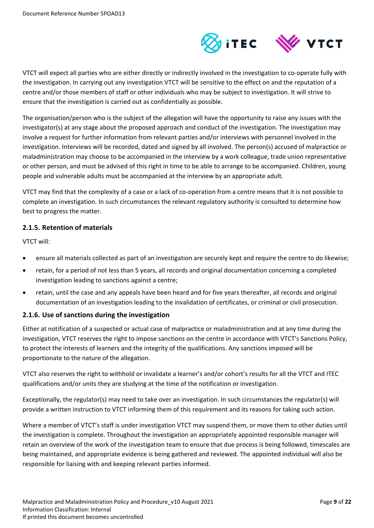

VTCT will expect all parties who are either directly or indirectly involved in the investigation to co-operate fully with the investigation. In carrying out any investigation VTCT will be sensitive to the effect on and the reputation of a centre and/or those members of staff or other individuals who may be subject to investigation. It will strive to ensure that the investigation is carried out as confidentially as possible.

The organisation/person who is the subject of the allegation will have the opportunity to raise any issues with the investigator(s) at any stage about the proposed approach and conduct of the investigation. The investigation may involve a request for further information from relevant parties and/or interviews with personnel involved in the investigation. Interviews will be recorded, dated and signed by all involved. The person(s) accused of malpractice or maladministration may choose to be accompanied in the interview by a work colleague, trade union representative or other person, and must be advised of this right in time to be able to arrange to be accompanied. Children, young people and vulnerable adults must be accompanied at the interview by an appropriate adult.

VTCT may find that the complexity of a case or a lack of co-operation from a centre means that it is not possible to complete an investigation. In such circumstances the relevant regulatory authority is consulted to determine how best to progress the matter.

#### <span id="page-8-0"></span>**2.1.5. Retention of materials**

VTCT will:

- ensure all materials collected as part of an investigation are securely kept and require the centre to do likewise;
- retain, for a period of not less than 5 years, all records and original documentation concerning a completed investigation leading to sanctions against a centre;
- retain, until the case and any appeals have been heard and for five years thereafter, all records and original documentation of an investigation leading to the invalidation of certificates, or criminal or civil prosecution.

### <span id="page-8-1"></span>**2.1.6. Use of sanctions during the investigation**

Either at notification of a suspected or actual case of malpractice or maladministration and at any time during the investigation, VTCT reserves the right to impose sanctions on the centre in accordance with VTCT's Sanctions Policy, to protect the interests of learners and the integrity of the qualifications. Any sanctions imposed will be proportionate to the nature of the allegation.

VTCT also reserves the right to withhold or invalidate a learner's and/or cohort's results for all the VTCT and ITEC qualifications and/or units they are studying at the time of the notification or investigation.

Exceptionally, the regulator(s) may need to take over an investigation. In such circumstances the regulator(s) will provide a written instruction to VTCT informing them of this requirement and its reasons for taking such action.

Where a member of VTCT's staff is under investigation VTCT may suspend them, or move them to other duties until the investigation is complete. Throughout the investigation an appropriately appointed responsible manager will retain an overview of the work of the investigation team to ensure that due process is being followed, timescales are being maintained, and appropriate evidence is being gathered and reviewed. The appointed individual will also be responsible for liaising with and keeping relevant parties informed.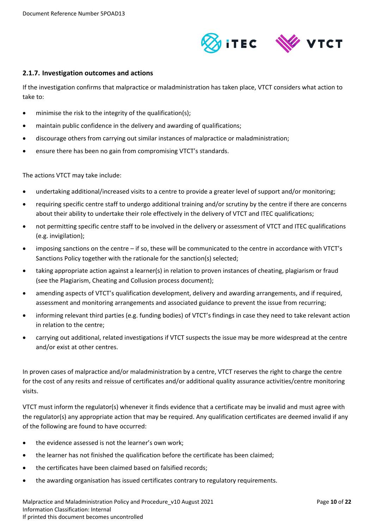

#### <span id="page-9-0"></span>**2.1.7. Investigation outcomes and actions**

If the investigation confirms that malpractice or maladministration has taken place, VTCT considers what action to take to:

- minimise the risk to the integrity of the qualification(s);
- maintain public confidence in the delivery and awarding of qualifications;
- discourage others from carrying out similar instances of malpractice or maladministration;
- ensure there has been no gain from compromising VTCT's standards.

The actions VTCT may take include:

- undertaking additional/increased visits to a centre to provide a greater level of support and/or monitoring;
- requiring specific centre staff to undergo additional training and/or scrutiny by the centre if there are concerns about their ability to undertake their role effectively in the delivery of VTCT and ITEC qualifications;
- not permitting specific centre staff to be involved in the delivery or assessment of VTCT and ITEC qualifications (e.g. invigilation);
- imposing sanctions on the centre if so, these will be communicated to the centre in accordance with VTCT's Sanctions Policy together with the rationale for the sanction(s) selected;
- taking appropriate action against a learner(s) in relation to proven instances of cheating, plagiarism or fraud (see the Plagiarism, Cheating and Collusion process document);
- amending aspects of VTCT's qualification development, delivery and awarding arrangements, and if required, assessment and monitoring arrangements and associated guidance to prevent the issue from recurring;
- informing relevant third parties (e.g. funding bodies) of VTCT's findings in case they need to take relevant action in relation to the centre;
- carrying out additional, related investigations if VTCT suspects the issue may be more widespread at the centre and/or exist at other centres.

In proven cases of malpractice and/or maladministration by a centre, VTCT reserves the right to charge the centre for the cost of any resits and reissue of certificates and/or additional quality assurance activities/centre monitoring visits.

VTCT must inform the regulator(s) whenever it finds evidence that a certificate may be invalid and must agree with the regulator(s) any appropriate action that may be required. Any qualification certificates are deemed invalid if any of the following are found to have occurred:

- the evidence assessed is not the learner's own work;
- the learner has not finished the qualification before the certificate has been claimed;
- the certificates have been claimed based on falsified records;
- the awarding organisation has issued certificates contrary to regulatory requirements.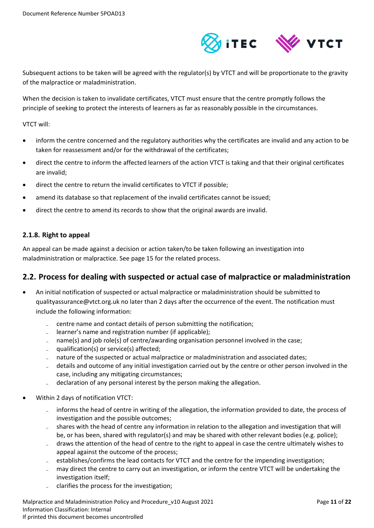

Subsequent actions to be taken will be agreed with the regulator(s) by VTCT and will be proportionate to the gravity of the malpractice or maladministration.

When the decision is taken to invalidate certificates, VTCT must ensure that the centre promptly follows the principle of seeking to protect the interests of learners as far as reasonably possible in the circumstances.

VTCT will:

- inform the centre concerned and the regulatory authorities why the certificates are invalid and any action to be taken for reassessment and/or for the withdrawal of the certificates;
- direct the centre to inform the affected learners of the action VTCT is taking and that their original certificates are invalid;
- direct the centre to return the invalid certificates to VTCT if possible;
- amend its database so that replacement of the invalid certificates cannot be issued;
- direct the centre to amend its records to show that the original awards are invalid.

### <span id="page-10-0"></span>**2.1.8. Right to appeal**

An appeal can be made against a decision or action taken/to be taken following an investigation into maladministration or malpractice. See page 15 for the related process.

## <span id="page-10-1"></span>**2.2. Process for dealing with suspected or actual case of malpractice or maladministration**

- An initial notification of suspected or actual malpractice or maladministration should be submitted to qualityassurance@vtct.org.uk no later than 2 days after the occurrence of the event. The notification must include the following information:
	- centre name and contact details of person submitting the notification;
	- learner's name and registration number (if applicable);
	- name(s) and job role(s) of centre/awarding organisation personnel involved in the case;
	- qualification(s) or service(s) affected;
	- nature of the suspected or actual malpractice or maladministration and associated dates;
	- details and outcome of any initial investigation carried out by the centre or other person involved in the case, including any mitigating circumstances;
	- declaration of any personal interest by the person making the allegation.
- Within 2 days of notification VTCT:
	- informs the head of centre in writing of the allegation, the information provided to date, the process of investigation and the possible outcomes;
	- shares with the head of centre any information in relation to the allegation and investigation that will be, or has been, shared with regulator(s) and may be shared with other relevant bodies (e.g. police);
	- draws the attention of the head of centre to the right to appeal in case the centre ultimately wishes to appeal against the outcome of the process;
	- establishes/confirms the lead contacts for VTCT and the centre for the impending investigation;
	- may direct the centre to carry out an investigation, or inform the centre VTCT will be undertaking the investigation itself;
	- clarifies the process for the investigation;

Malpractice and Maladministration Policy and Procedure\_v10 August 2021 Page **11** of **22** Information Classification: Internal If printed this document becomes uncontrolled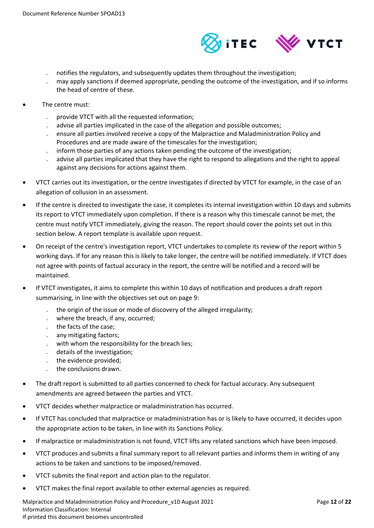

- notifies the regulators, and subsequently updates them throughout the investigation;
- may apply sanctions if deemed appropriate, pending the outcome of the investigation, and if so informs the head of centre of these.
- The centre must:
	- provide VTCT with all the requested information;
	- advise all parties implicated in the case of the allegation and possible outcomes;
	- ensure all parties involved receive a copy of the Malpractice and Maladministration Policy and Procedures and are made aware of the timescales for the investigation;
	- inform those parties of any actions taken pending the outcome of the investigation;
	- advise all parties implicated that they have the right to respond to allegations and the right to appeal against any decisions for actions against them.
- VTCT carries out its investigation, or the centre investigates if directed by VTCT for example, in the case of an allegation of collusion in an assessment.
- If the centre is directed to investigate the case, it completes its internal investigation within 10 days and submits its report to VTCT immediately upon completion. If there is a reason why this timescale cannot be met, the centre must notify VTCT immediately, giving the reason. The report should cover the points set out in this section below. A report template is available upon request.
- On receipt of the centre's investigation report, VTCT undertakes to complete its review of the report within 5 working days. If for any reason this is likely to take longer, the centre will be notified immediately. If VTCT does not agree with points of factual accuracy in the report, the centre will be notified and a record will be maintained.
- If VTCT investigates, it aims to complete this within 10 days of notification and produces a draft report summarising, in line with the objectives set out on page 9:
	- the origin of the issue or mode of discovery of the alleged irregularity;
	- $=$  where the breach, if any, occurred;
	- the facts of the case:
	- any mitigating factors;
	- with whom the responsibility for the breach lies;
	- details of the investigation;
	- the evidence provided;
	- the conclusions drawn.
- The draft report is submitted to all parties concerned to check for factual accuracy. Any subsequent amendments are agreed between the parties and VTCT.
- VTCT decides whether malpractice or maladministration has occurred.
- If VTCT has concluded that malpractice or maladministration has or is likely to have occurred, it decides upon the appropriate action to be taken, in line with its Sanctions Policy.
- If malpractice or maladministration is not found, VTCT lifts any related sanctions which have been imposed.
- VTCT produces and submits a final summary report to all relevant parties and informs them in writing of any actions to be taken and sanctions to be imposed/removed.
- VTCT submits the final report and action plan to the regulator.
- VTCT makes the final report available to other external agencies as required.

Malpractice and Maladministration Policy and Procedure\_v10 August 2021 Page **12** of **22** Information Classification: Internal If printed this document becomes uncontrolled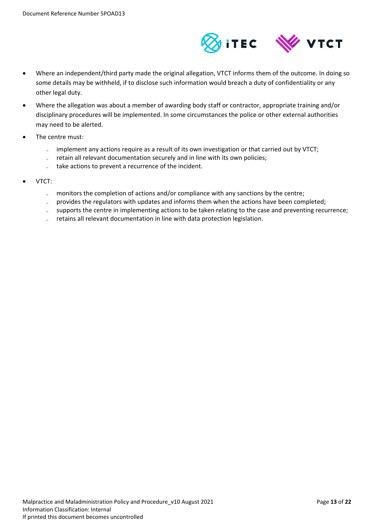

- Where an independent/third party made the original allegation, VTCT informs them of the outcome. In doing so some details may be withheld, if to disclose such information would breach a duty of confidentiality or any other legal duty.
- Where the allegation was about a member of awarding body staff or contractor, appropriate training and/or disciplinary procedures will be implemented. In some circumstances the police or other external authorities may need to be alerted.
- The centre must:
	- implement any actions require as a result of its own investigation or that carried out by VTCT;
	- retain all relevant documentation securely and in line with its own policies;
	- take actions to prevent a recurrence of the incident.
- VTCT:
	- monitors the completion of actions and/or compliance with any sanctions by the centre;
	- provides the regulators with updates and informs them when the actions have been completed;
	- supports the centre in implementing actions to be taken relating to the case and preventing recurrence;
	- retains all relevant documentation in line with data protection legislation.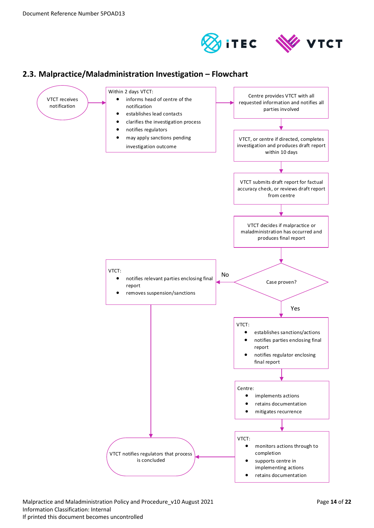



# <span id="page-13-0"></span>**2.3. Malpractice/Maladministration Investigation – Flowchart**



Malpractice and Maladministration Policy and Procedure\_v10 August 2021 Page **14** of **22** Information Classification: Internal If printed this document becomes uncontrolled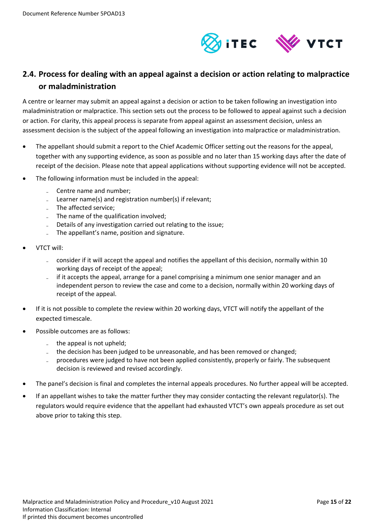

# <span id="page-14-0"></span>**2.4. Process for dealing with an appeal against a decision or action relating to malpractice or maladministration**

A centre or learner may submit an appeal against a decision or action to be taken following an investigation into maladministration or malpractice. This section sets out the process to be followed to appeal against such a decision or action. For clarity, this appeal process is separate from appeal against an assessment decision, unless an assessment decision is the subject of the appeal following an investigation into malpractice or maladministration.

- The appellant should submit a report to the Chief Academic Officer setting out the reasons for the appeal, together with any supporting evidence, as soon as possible and no later than 15 working days after the date of receipt of the decision. Please note that appeal applications without supporting evidence will not be accepted.
- The following information must be included in the appeal:
	- Centre name and number;
	- Learner name(s) and registration number(s) if relevant;
	- The affected service:
	- The name of the qualification involved;
	- Details of any investigation carried out relating to the issue;
	- The appellant's name, position and signature.
- VTCT will:
	- consider if it will accept the appeal and notifies the appellant of this decision, normally within 10 working days of receipt of the appeal;
	- if it accepts the appeal, arrange for a panel comprising a minimum one senior manager and an independent person to review the case and come to a decision, normally within 20 working days of receipt of the appeal.
- If it is not possible to complete the review within 20 working days, VTCT will notify the appellant of the expected timescale.
- Possible outcomes are as follows:
	- the appeal is not upheld;
	- the decision has been judged to be unreasonable, and has been removed or changed;
	- ̵ procedures were judged to have not been applied consistently, properly or fairly. The subsequent decision is reviewed and revised accordingly.
- The panel's decision is final and completes the internal appeals procedures. No further appeal will be accepted.
- If an appellant wishes to take the matter further they may consider contacting the relevant regulator(s). The regulators would require evidence that the appellant had exhausted VTCT's own appeals procedure as set out above prior to taking this step.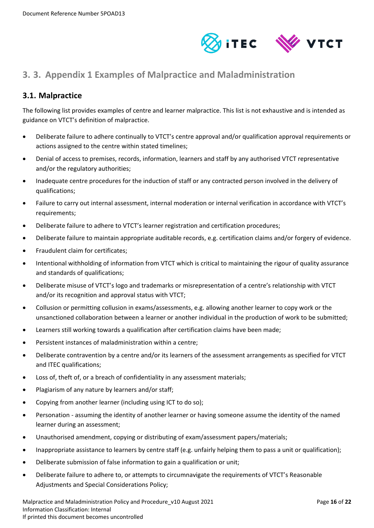

# <span id="page-15-0"></span>**3. 3. Appendix 1 Examples of Malpractice and Maladministration**

# <span id="page-15-1"></span>**3.1. Malpractice**

The following list provides examples of centre and learner malpractice. This list is not exhaustive and is intended as guidance on VTCT's definition of malpractice.

- Deliberate failure to adhere continually to VTCT's centre approval and/or qualification approval requirements or actions assigned to the centre within stated timelines;
- Denial of access to premises, records, information, learners and staff by any authorised VTCT representative and/or the regulatory authorities;
- Inadequate centre procedures for the induction of staff or any contracted person involved in the delivery of qualifications;
- Failure to carry out internal assessment, internal moderation or internal verification in accordance with VTCT's requirements;
- Deliberate failure to adhere to VTCT's learner registration and certification procedures;
- Deliberate failure to maintain appropriate auditable records, e.g. certification claims and/or forgery of evidence.
- Fraudulent claim for certificates;
- Intentional withholding of information from VTCT which is critical to maintaining the rigour of quality assurance and standards of qualifications;
- Deliberate misuse of VTCT's logo and trademarks or misrepresentation of a centre's relationship with VTCT and/or its recognition and approval status with VTCT;
- Collusion or permitting collusion in exams/assessments, e.g. allowing another learner to copy work or the unsanctioned collaboration between a learner or another individual in the production of work to be submitted;
- Learners still working towards a qualification after certification claims have been made;
- Persistent instances of maladministration within a centre;
- Deliberate contravention by a centre and/or its learners of the assessment arrangements as specified for VTCT and ITEC qualifications;
- Loss of, theft of, or a breach of confidentiality in any assessment materials;
- Plagiarism of any nature by learners and/or staff;
- Copying from another learner (including using ICT to do so);
- Personation assuming the identity of another learner or having someone assume the identity of the named learner during an assessment;
- Unauthorised amendment, copying or distributing of exam/assessment papers/materials;
- Inappropriate assistance to learners by centre staff (e.g. unfairly helping them to pass a unit or qualification);
- Deliberate submission of false information to gain a qualification or unit;
- Deliberate failure to adhere to, or attempts to circumnavigate the requirements of VTCT's Reasonable Adjustments and Special Considerations Policy;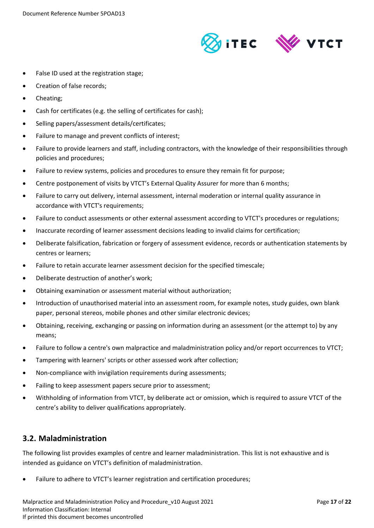

- False ID used at the registration stage;
- Creation of false records;
- Cheating;
- Cash for certificates (e.g. the selling of certificates for cash);
- Selling papers/assessment details/certificates;
- Failure to manage and prevent conflicts of interest;
- Failure to provide learners and staff, including contractors, with the knowledge of their responsibilities through policies and procedures;
- Failure to review systems, policies and procedures to ensure they remain fit for purpose;
- Centre postponement of visits by VTCT's External Quality Assurer for more than 6 months;
- Failure to carry out delivery, internal assessment, internal moderation or internal quality assurance in accordance with VTCT's requirements;
- Failure to conduct assessments or other external assessment according to VTCT's procedures or regulations;
- Inaccurate recording of learner assessment decisions leading to invalid claims for certification;
- Deliberate falsification, fabrication or forgery of assessment evidence, records or authentication statements by centres or learners;
- Failure to retain accurate learner assessment decision for the specified timescale;
- Deliberate destruction of another's work;
- Obtaining examination or assessment material without authorization;
- Introduction of unauthorised material into an assessment room, for example notes, study guides, own blank paper, personal stereos, mobile phones and other similar electronic devices;
- Obtaining, receiving, exchanging or passing on information during an assessment (or the attempt to) by any means;
- Failure to follow a centre's own malpractice and maladministration policy and/or report occurrences to VTCT;
- Tampering with learners' scripts or other assessed work after collection;
- Non-compliance with invigilation requirements during assessments;
- Failing to keep assessment papers secure prior to assessment;
- Withholding of information from VTCT, by deliberate act or omission, which is required to assure VTCT of the centre's ability to deliver qualifications appropriately.

## <span id="page-16-0"></span>**3.2. Maladministration**

The following list provides examples of centre and learner maladministration. This list is not exhaustive and is intended as guidance on VTCT's definition of maladministration.

Failure to adhere to VTCT's learner registration and certification procedures;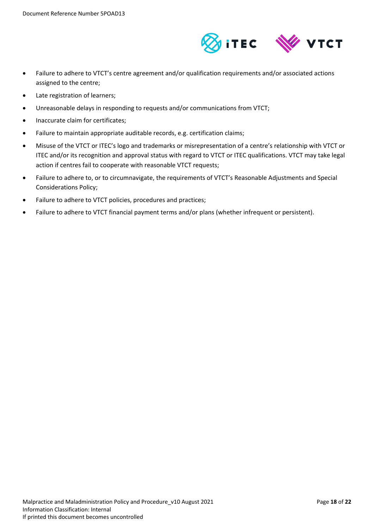

- Failure to adhere to VTCT's centre agreement and/or qualification requirements and/or associated actions assigned to the centre;
- Late registration of learners;
- Unreasonable delays in responding to requests and/or communications from VTCT;
- Inaccurate claim for certificates;
- Failure to maintain appropriate auditable records, e.g. certification claims;
- Misuse of the VTCT or ITEC's logo and trademarks or misrepresentation of a centre's relationship with VTCT or ITEC and/or its recognition and approval status with regard to VTCT or ITEC qualifications. VTCT may take legal action if centres fail to cooperate with reasonable VTCT requests;
- Failure to adhere to, or to circumnavigate, the requirements of VTCT's Reasonable Adjustments and Special Considerations Policy;
- Failure to adhere to VTCT policies, procedures and practices;
- Failure to adhere to VTCT financial payment terms and/or plans (whether infrequent or persistent).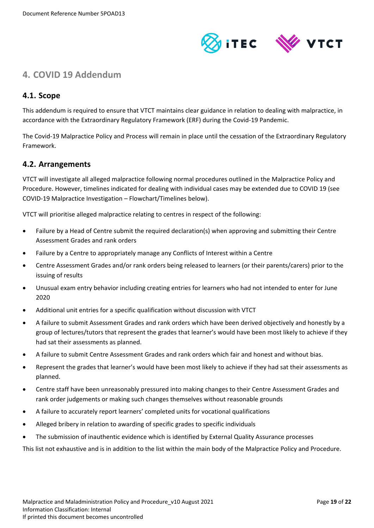

# <span id="page-18-0"></span>**4. COVID 19 Addendum**

## <span id="page-18-1"></span>**4.1. Scope**

This addendum is required to ensure that VTCT maintains clear guidance in relation to dealing with malpractice, in accordance with the Extraordinary Regulatory Framework (ERF) during the Covid-19 Pandemic.

The Covid-19 Malpractice Policy and Process will remain in place until the cessation of the Extraordinary Regulatory Framework.

## <span id="page-18-2"></span>**4.2. Arrangements**

VTCT will investigate all alleged malpractice following normal procedures outlined in the Malpractice Policy and Procedure. However, timelines indicated for dealing with individual cases may be extended due to COVID 19 (see COVID-19 Malpractice Investigation – Flowchart/Timelines below).

VTCT will prioritise alleged malpractice relating to centres in respect of the following:

- Failure by a Head of Centre submit the required declaration(s) when approving and submitting their Centre Assessment Grades and rank orders
- Failure by a Centre to appropriately manage any Conflicts of Interest within a Centre
- Centre Assessment Grades and/or rank orders being released to learners (or their parents/carers) prior to the issuing of results
- Unusual exam entry behavior including creating entries for learners who had not intended to enter for June 2020
- Additional unit entries for a specific qualification without discussion with VTCT
- A failure to submit Assessment Grades and rank orders which have been derived objectively and honestly by a group of lectures/tutors that represent the grades that learner's would have been most likely to achieve if they had sat their assessments as planned.
- A failure to submit Centre Assessment Grades and rank orders which fair and honest and without bias.
- Represent the grades that learner's would have been most likely to achieve if they had sat their assessments as planned.
- Centre staff have been unreasonably pressured into making changes to their Centre Assessment Grades and rank order judgements or making such changes themselves without reasonable grounds
- A failure to accurately report learners' completed units for vocational qualifications
- Alleged bribery in relation to awarding of specific grades to specific individuals
- The submission of inauthentic evidence which is identified by External Quality Assurance processes

This list not exhaustive and is in addition to the list within the main body of the Malpractice Policy and Procedure.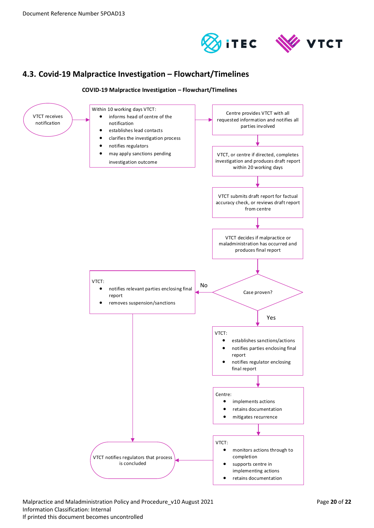



# <span id="page-19-0"></span>**4.3. Covid-19 Malpractice Investigation – Flowchart/Timelines**

#### **COVID-19 Malpractice Investigation – Flowchart/Timelines**



Malpractice and Maladministration Policy and Procedure\_v10 August 2021 Page **20** of **22** Information Classification: Internal If printed this document becomes uncontrolled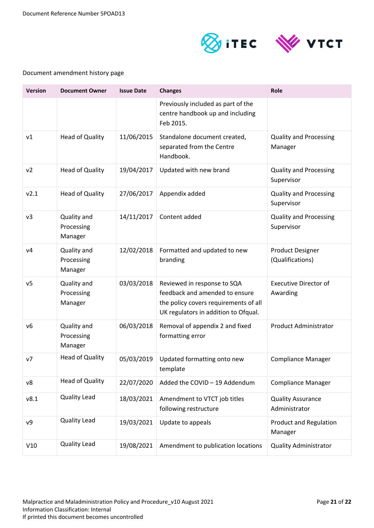

## Document amendment history page

| <b>Version</b> | <b>Document Owner</b>                | <b>Issue Date</b> | <b>Changes</b>                                                                                                                                 | Role                                        |
|----------------|--------------------------------------|-------------------|------------------------------------------------------------------------------------------------------------------------------------------------|---------------------------------------------|
|                |                                      |                   | Previously included as part of the<br>centre handbook up and including<br>Feb 2015.                                                            |                                             |
| v1             | <b>Head of Quality</b>               | 11/06/2015        | Standalone document created,<br>separated from the Centre<br>Handbook.                                                                         | <b>Quality and Processing</b><br>Manager    |
| v <sub>2</sub> | <b>Head of Quality</b>               | 19/04/2017        | Updated with new brand                                                                                                                         | <b>Quality and Processing</b><br>Supervisor |
| v2.1           | <b>Head of Quality</b>               | 27/06/2017        | Appendix added                                                                                                                                 | <b>Quality and Processing</b><br>Supervisor |
| v3             | Quality and<br>Processing<br>Manager | 14/11/2017        | Content added                                                                                                                                  | <b>Quality and Processing</b><br>Supervisor |
| V <sub>4</sub> | Quality and<br>Processing<br>Manager | 12/02/2018        | Formatted and updated to new<br>branding                                                                                                       | <b>Product Designer</b><br>(Qualifications) |
| v <sub>5</sub> | Quality and<br>Processing<br>Manager | 03/03/2018        | Reviewed in response to SQA<br>feedback and amended to ensure<br>the policy covers requirements of all<br>UK regulators in addition to Ofqual. | <b>Executive Director of</b><br>Awarding    |
| v6             | Quality and<br>Processing<br>Manager | 06/03/2018        | Removal of appendix 2 and fixed<br>formatting error                                                                                            | <b>Product Administrator</b>                |
| V <sub>7</sub> | <b>Head of Quality</b>               | 05/03/2019        | Updated formatting onto new<br>template                                                                                                        | <b>Compliance Manager</b>                   |
| v8             | <b>Head of Quality</b>               | 22/07/2020        | Added the COVID - 19 Addendum                                                                                                                  | <b>Compliance Manager</b>                   |
| v8.1           | <b>Quality Lead</b>                  | 18/03/2021        | Amendment to VTCT job titles<br>following restructure                                                                                          | <b>Quality Assurance</b><br>Administrator   |
| ν9             | Quality Lead                         | 19/03/2021        | Update to appeals                                                                                                                              | <b>Product and Regulation</b><br>Manager    |
| V10            | <b>Quality Lead</b>                  | 19/08/2021        | Amendment to publication locations                                                                                                             | <b>Quality Administrator</b>                |